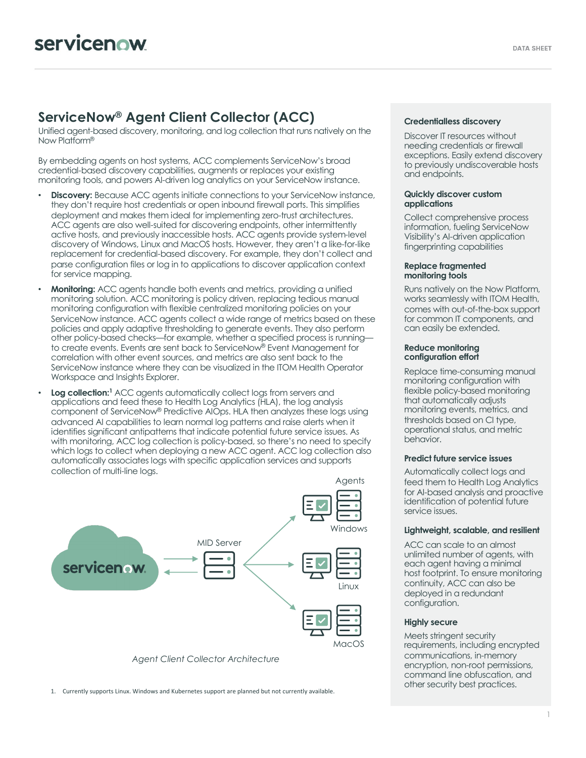## **ServiceNow® Agent Client Collector (ACC)**

Unified agent-based discovery, monitoring, and log collection that runs natively on the Now Platform®

By embedding agents on host systems, ACC complements ServiceNow's broad credential-based discovery capabilities, augments or replaces your existing monitoring tools, and powers AI-driven log analytics on your ServiceNow instance.

- **Discovery:** Because ACC agents initiate connections to your ServiceNow instance. they don't require host credentials or open inbound firewall ports. This simplifies deployment and makes them ideal for implementing zero-trust architectures. ACC agents are also well-suited for discovering endpoints, other intermittently active hosts, and previously inaccessible hosts. ACC agents provide system-level discovery of Windows, Linux and MacOS hosts. However, they aren't a like-for-like replacement for credential-based discovery. For example, they don't collect and parse configuration files or log in to applications to discover application context for service mapping.
- **Monitoring:** ACC agents handle both events and metrics, providing a unified monitoring solution. ACC monitoring is policy driven, replacing tedious manual monitoring configuration with flexible centralized monitoring policies on your ServiceNow instance. ACC agents collect a wide range of metrics based on these policies and apply adaptive thresholding to generate events. They also perform other policy-based checks—for example, whether a specified process is running to create events. Events are sent back to ServiceNow® Event Management for correlation with other event sources, and metrics are also sent back to the ServiceNow instance where they can be visualized in the ITOM Health Operator Workspace and Insights Explorer.
- **Log collection:**<sup>1</sup> ACC agents automatically collect logs from servers and applications and feed these to Health Log Analytics (HLA), the log analysis component of ServiceNow® Predictive AIOps. HLA then analyzes these logs using advanced AI capabilities to learn normal log patterns and raise alerts when it identifies significant antipatterns that indicate potential future service issues. As with monitoring, ACC log collection is policy-based, so there's no need to specify which logs to collect when deploying a new ACC agent. ACC log collection also automatically associates logs with specific application services and supports collection of multi-line logs.



1. Currently supports Linux. Windows and Kubernetes support are planned but not currently available.

#### **Credentialless discovery**

Discover IT resources without needing credentials or firewall exceptions. Easily extend discovery to previously undiscoverable hosts and endpoints.

#### **Quickly discover custom applications**

Collect comprehensive process information, fueling ServiceNow Visibility's AI-driven application fingerprinting capabilities

#### **Replace fragmented monitoring tools**

Runs natively on the Now Platform, works seamlessly with ITOM Health, comes with out-of-the-box support for common IT components, and can easily be extended.

#### **Reduce monitoring configuration effort**

Replace time-consuming manual monitoring configuration with flexible policy-based monitoring that automatically adjusts monitoring events, metrics, and thresholds based on CI type, operational status, and metric behavior.

#### **Predict future service issues**

Automatically collect logs and feed them to Health Log Analytics for AI-based analysis and proactive identification of potential future service issues.

#### **Lightweight, scalable, and resilient**

ACC can scale to an almost unlimited number of agents, with each agent having a minimal host footprint. To ensure monitoring continuity, ACC can also be deployed in a redundant configuration.

#### **Highly secure**

Meets stringent security requirements, including encrypted communications, in-memory encryption, non-root permissions, command line obfuscation, and other security best practices.